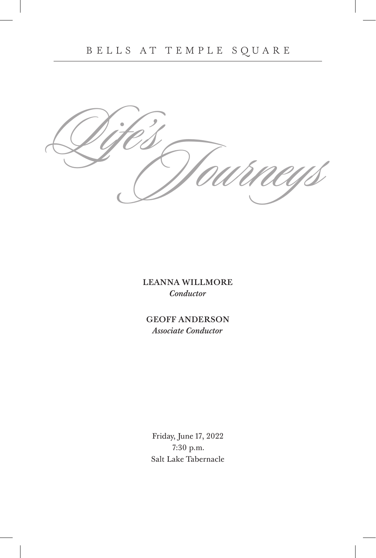

LEANNA WILLMORE *Conductor*

GEOFF ANDERSON *Associate Conductor* 

Friday, June 17, 2022 7:30 p.m. Salt Lake Tabernacle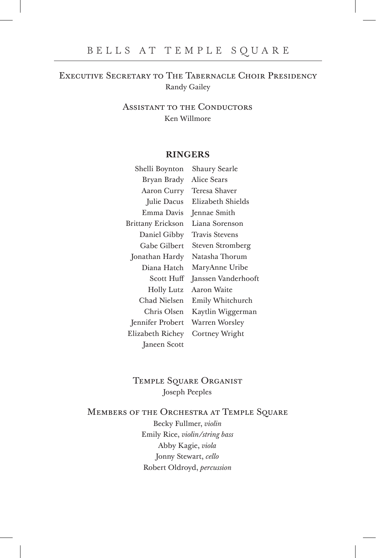# BELLS AT TEMPLE SQUARE

## Executive Secretary to The Tabernacle Choir Presidency Randy Gailey

Assistant to the Conductors Ken Willmore

### **RINGERS**

| Shelli Boynton           | Shaury Searle         |  |
|--------------------------|-----------------------|--|
| Bryan Brady              | Alice Sears           |  |
| Aaron Curry              | Teresa Shaver         |  |
| Julie Dacus              | Elizabeth Shields     |  |
| Emma Davis               | Jennae Smith          |  |
| <b>Brittany Erickson</b> | Liana Sorenson        |  |
| Daniel Gibby             | <b>Travis Stevens</b> |  |
| Gabe Gilbert             | Steven Stromberg      |  |
| Jonathan Hardy           | Natasha Thorum        |  |
| Diana Hatch              | MaryAnne Uribe        |  |
| Scott Huff               | Janssen Vanderhooft   |  |
| Holly Lutz               | Aaron Waite           |  |
| Chad Nielsen             | Emily Whitchurch      |  |
| Chris Olsen              | Kaytlin Wiggerman     |  |
| Jennifer Probert         | Warren Worsley        |  |
| Elizabeth Richey         | Cortney Wright        |  |
| Janeen Scott             |                       |  |

## Temple Square Organist Joseph Peeples

## MEMBERS OF THE ORCHESTRA AT TEMPLE SQUARE

Becky Fullmer, *violin* Emily Rice, *violin/string bass* Abby Kagie, *viola* Jonny Stewart, *cello* Robert Oldroyd, *percussion*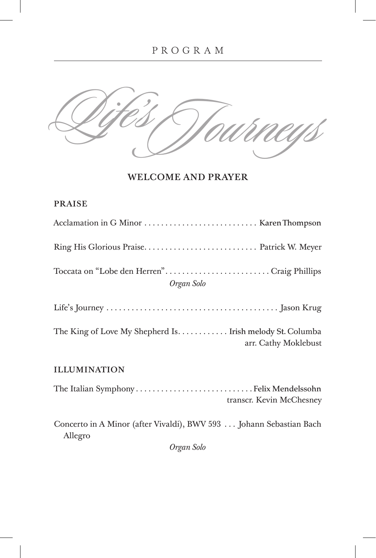PROGRAM



WELCOME AND PRAYER

# PRAISE

| Organ Solo                                                                        |  |  |
|-----------------------------------------------------------------------------------|--|--|
|                                                                                   |  |  |
| The King of Love My Shepherd Is. Irish melody St. Columba<br>arr. Cathy Moklebust |  |  |
| <b>ILLUMINATION</b>                                                               |  |  |
| transcr. Kevin McChesney                                                          |  |  |
| Concerto in A Minor (after Vivaldi), BWV 593  Johann Sebastian Bach               |  |  |

Allegro

*Organ Solo*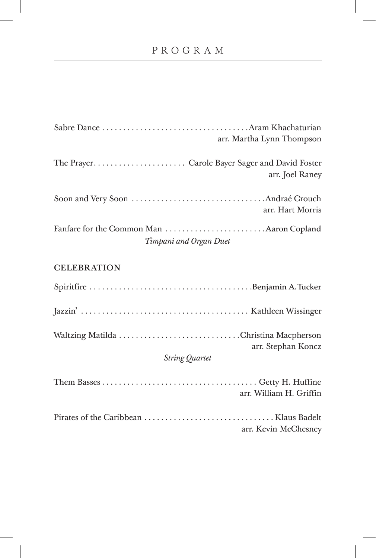# PROGRAM

| arr. Martha Lynn Thompson                                         |
|-------------------------------------------------------------------|
| The Prayer Carole Bayer Sager and David Foster<br>arr. Joel Raney |
| arr. Hart Morris                                                  |
| Timpani and Organ Duet                                            |

# **CELEBRATION**

|                       | arr. Stephan Koncz      |
|-----------------------|-------------------------|
| <b>String Quartet</b> |                         |
|                       | arr. William H. Griffin |
|                       | arr. Kevin McChesney    |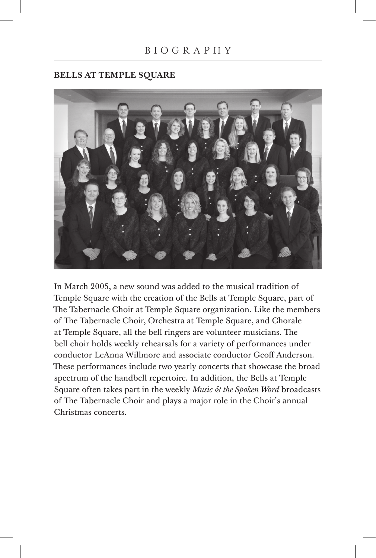### BIOGRAPHY

### **BELLS AT TEMPLE SQUARE**



In March 2005, a new sound was added to the musical tradition of Temple Square with the creation of the Bells at Temple Square, part of The Tabernacle Choir at Temple Square organization. Like the members of The Tabernacle Choir, Orchestra at Temple Square, and Chorale at Temple Square, all the bell ringers are volunteer musicians. The bell choir holds weekly rehearsals for a variety of performances under conductor LeAnna Willmore and associate conductor Geoff Anderson. These performances include two yearly concerts that showcase the broad spectrum of the handbell repertoire. In addition, the Bells at Temple Square often takes part in the weekly *Music & the Spoken Word* broadcasts of The Tabernacle Choir and plays a major role in the Choir's annual Christmas concerts.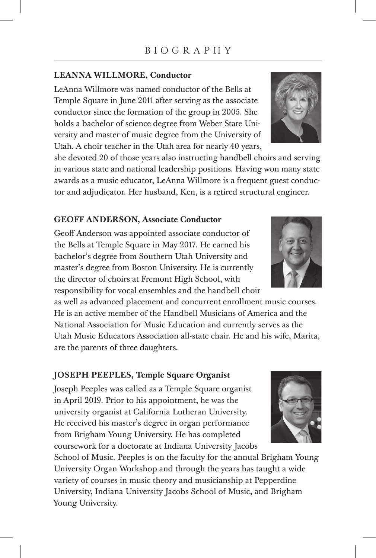#### **LEANNA WILLMORE, Conductor**

LeAnna Willmore was named conductor of the Bells at Temple Square in June 2011 after serving as the associate conductor since the formation of the group in 2005. She holds a bachelor of science degree from Weber State University and master of music degree from the University of Utah. A choir teacher in the Utah area for nearly 40 years,

she devoted 20 of those years also instructing handbell choirs and serving in various state and national leadership positions. Having won many state awards as a music educator, LeAnna Willmore is a frequent guest conductor and adjudicator. Her husband, Ken, is a retired structural engineer.

#### **GEOFF ANDERSON, Associate Conductor**

Geoff Anderson was appointed associate conductor of the Bells at Temple Square in May 2017. He earned his bachelor's degree from Southern Utah University and master's degree from Boston University. He is currently the director of choirs at Fremont High School, with responsibility for vocal ensembles and the handbell choir

as well as advanced placement and concurrent enrollment music courses. He is an active member of the Handbell Musicians of America and the National Association for Music Education and currently serves as the Utah Music Educators Association all-state chair. He and his wife, Marita, are the parents of three daughters.

#### **JOSEPH PEEPLES, Temple Square Organist**

Joseph Peeples was called as a Temple Square organist in April 2019. Prior to his appointment, he was the university organist at California Lutheran University. He received his master's degree in organ performance from Brigham Young University. He has completed coursework for a doctorate at Indiana University Jacobs

School of Music. Peeples is on the faculty for the annual Brigham Young University Organ Workshop and through the years has taught a wide variety of courses in music theory and musicianship at Pepperdine University, Indiana University Jacobs School of Music, and Brigham Young University.